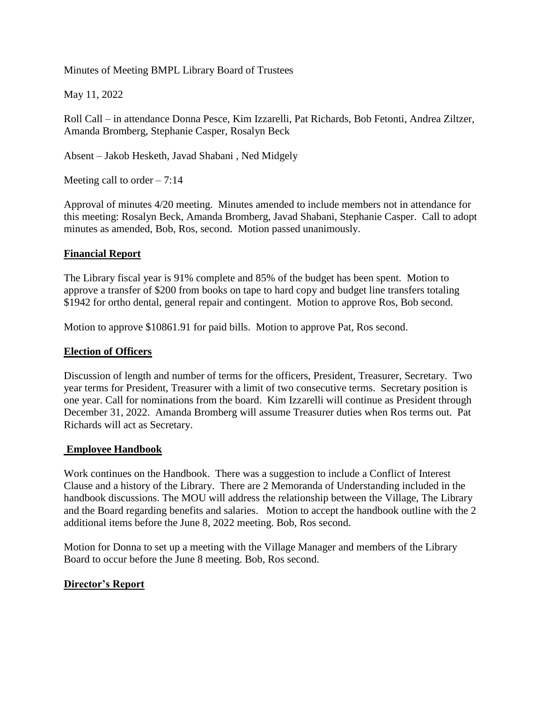Minutes of Meeting BMPL Library Board of Trustees

May 11, 2022

Roll Call – in attendance Donna Pesce, Kim Izzarelli, Pat Richards, Bob Fetonti, Andrea Ziltzer, Amanda Bromberg, Stephanie Casper, Rosalyn Beck

Absent – Jakob Hesketh, Javad Shabani , Ned Midgely

Meeting call to order  $-7:14$ 

Approval of minutes 4/20 meeting. Minutes amended to include members not in attendance for this meeting: Rosalyn Beck, Amanda Bromberg, Javad Shabani, Stephanie Casper. Call to adopt minutes as amended, Bob, Ros, second. Motion passed unanimously.

## **Financial Report**

The Library fiscal year is 91% complete and 85% of the budget has been spent. Motion to approve a transfer of \$200 from books on tape to hard copy and budget line transfers totaling \$1942 for ortho dental, general repair and contingent. Motion to approve Ros, Bob second.

Motion to approve \$10861.91 for paid bills. Motion to approve Pat, Ros second.

## **Election of Officers**

Discussion of length and number of terms for the officers, President, Treasurer, Secretary. Two year terms for President, Treasurer with a limit of two consecutive terms. Secretary position is one year. Call for nominations from the board. Kim Izzarelli will continue as President through December 31, 2022. Amanda Bromberg will assume Treasurer duties when Ros terms out. Pat Richards will act as Secretary.

## **Employee Handbook**

Work continues on the Handbook. There was a suggestion to include a Conflict of Interest Clause and a history of the Library. There are 2 Memoranda of Understanding included in the handbook discussions. The MOU will address the relationship between the Village, The Library and the Board regarding benefits and salaries. Motion to accept the handbook outline with the 2 additional items before the June 8, 2022 meeting. Bob, Ros second.

Motion for Donna to set up a meeting with the Village Manager and members of the Library Board to occur before the June 8 meeting. Bob, Ros second.

## **Director's Report**